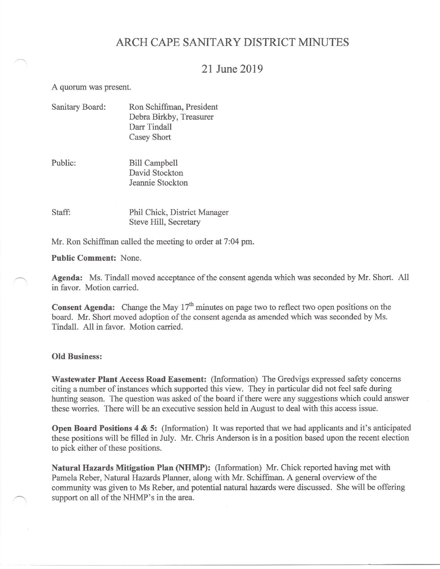# ARCH CAPE SANITARY DISTRICT MINUTES

## 21 June 2019

A quorum was present.

| Ron Schiffman, President |
|--------------------------|
| Debra Birkby, Treasurer  |
| Darr Tindall             |
| Casey Short              |
|                          |

Public: **Bill Campbell** David Stockton Jeannie Stockton

Staff: Phil Chick, District Manager Steve Hill, Secretary

Mr. Ron Schiffman called the meeting to order at 7:04 pm.

**Public Comment: None.** 

Agenda: Ms. Tindall moved acceptance of the consent agenda which was seconded by Mr. Short. All in favor. Motion carried.

**Consent Agenda:** Change the May  $17<sup>th</sup>$  minutes on page two to reflect two open positions on the board. Mr. Short moved adoption of the consent agenda as amended which was seconded by Ms. Tindall. All in favor. Motion carried.

#### **Old Business:**

Wastewater Plant Access Road Easement: (Information) The Gredvigs expressed safety concerns citing a number of instances which supported this view. They in particular did not feel safe during hunting season. The question was asked of the board if there were any suggestions which could answer these worries. There will be an executive session held in August to deal with this access issue.

Open Board Positions 4 & 5: (Information) It was reported that we had applicants and it's anticipated these positions will be filled in July. Mr. Chris Anderson is in a position based upon the recent election to pick either of these positions.

Natural Hazards Mitigation Plan (NHMP): (Information) Mr. Chick reported having met with Pamela Reber, Natural Hazards Planner, along with Mr. Schiffman. A general overview of the community was given to Ms Reber, and potential natural hazards were discussed. She will be offering support on all of the NHMP's in the area.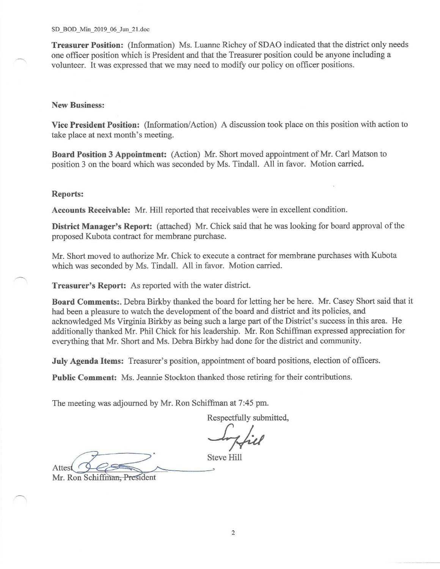Treasurer Position: (Information) Ms. Luanne Richey of SDAO indicated that the district only needs one officer position which is President and that the Treasurer position could be anyone including a volunteer. It was expressed that we may need to modify our policy on officer positions.

#### **New Business:**

Vice President Position: (Information/Action) A discussion took place on this position with action to take place at next month's meeting.

Board Position 3 Appointment: (Action) Mr. Short moved appointment of Mr. Carl Matson to position 3 on the board which was seconded by Ms. Tindall. All in favor. Motion carried.

#### **Reports:**

Accounts Receivable: Mr. Hill reported that receivables were in excellent condition.

District Manager's Report: (attached) Mr. Chick said that he was looking for board approval of the proposed Kubota contract for membrane purchase.

Mr. Short moved to authorize Mr. Chick to execute a contract for membrane purchases with Kubota which was seconded by Ms. Tindall. All in favor. Motion carried.

Treasurer's Report: As reported with the water district.

Board Comments:. Debra Birkby thanked the board for letting her be here. Mr. Casey Short said that it had been a pleasure to watch the development of the board and district and its policies, and acknowledged Ms Virginia Birkby as being such a large part of the District's success in this area. He additionally thanked Mr. Phil Chick for his leadership. Mr. Ron Schiffman expressed appreciation for everything that Mr. Short and Ms. Debra Birkby had done for the district and community.

July Agenda Items: Treasurer's position, appointment of board positions, election of officers.

Public Comment: Ms. Jeannie Stockton thanked those retiring for their contributions.

The meeting was adjourned by Mr. Ron Schiffman at 7:45 pm.

Respectfully submitted,

**Steve Hill** Attest

Mr. Ron Schiffman, President